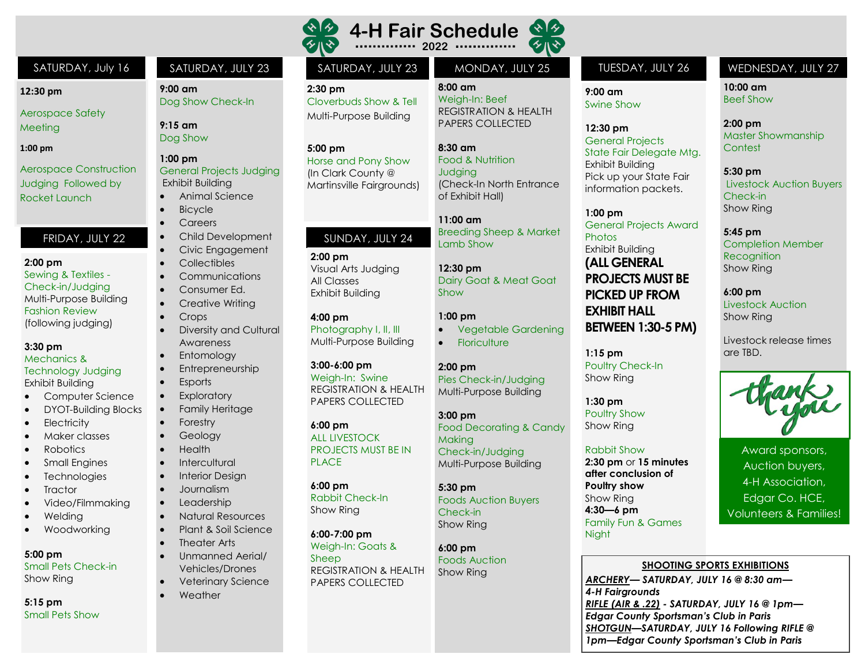

#### SATURDAY, July 16 SATURDAY, JULY 23 SATURDAY, JULY 23

**2:30 pm**  Cloverbuds Show & Tell Multi-Purpose Building

**5:00 pm** Horse and Pony Show (In Clark County @ Martinsville Fairgrounds)

## SUNDAY, JULY 24

**2:00 pm** Visual Arts Judging All Classes Exhibit Building

**4:00 pm** Photography I, II, III Multi-Purpose Building

#### **3:00-6:00 pm**

Weigh-In: Swine REGISTRATION & HEALTH PAPERS COLLECTED

#### **6:00 pm**

ALL LIVESTOCK PROJECTS MUST BE IN PLACE.

Show Ring

Weigh-In: Goats & Sheep PAPERS COLLECTED

くんじょう

**8:00 am**  Weigh-In: Beef REGISTRATION & HEALTH PAPERS COLLECTED

**8:30 am** Food & Nutrition **Judaina** (Check-In North Entrance of Exhibit Hall)

**11:00 am** Breeding Sheep & Market Lamb Show

**12:30 pm** Dairy Goat & Meat Goat Show

Food Decorating & Candy

Check-in/Judging Multi-Purpose Building

Foods Auction Buyers

#### **1:00 pm**

• Vegetable Gardening **Floriculture** 

#### **2:00 pm**

**Makina** 

**5:30 pm**

Check-in Show Ring

**6:00 pm** Foods Auction Show Ring

Pies Check-in/Judging Multi-Purpose Building **3:00 pm**

**6:00 pm** Rabbit Check-In

**6:00-7:00 pm** REGISTRATION & HEALTH

**9:00 am** Swine Show

**12:30 pm** General Projects State Fair Delegate Mtg. Exhibit Building Pick up your State Fair information packets.

**1:00 pm** General Projects Award **Photos** Exhibit Building **(ALL GENERAL PROJECTS MUST BE PICKED UP FROM EXHIBIT HALL BETWEEN 1:30-5 PM)**

**1:15 pm** Poultry Check-In Show Ring

**1:30 pm** Poultry Show Show Ring

#### Rabbit Show

**2:30 pm** or **15 minutes after conclusion of Poultry show** Show Ring **4:30—6 pm** Family Fun & Games Night

#### MONDAY, JULY 25 TUESDAY, JULY 26 WEDNESDAY, JULY 27

**10:00 am** Beef Show

**2:00 pm** Master Showmanship Contest

**5:30 pm** Livestock Auction Buyers Check-in Show Ring

**5:45 pm** Completion Member **Recognition** Show Ring

**6:00 pm** Livestock Auction Show Ring

Livestock release times are TBD.



Award sponsors, Auction buyers, 4-H Association, Edgar Co. HCE, Volunteers & Families!

#### **SHOOTING SPORTS EXHIBITIONS**

*ARCHERY— SATURDAY, JULY 16 @ 8:30 am— 4-H Fairgrounds RIFLE (AIR & .22) - SATURDAY, JULY 16 @ 1pm— Edgar County Sportsman's Club in Paris SHOTGUN—SATURDAY, JULY 16 Following RIFLE @ 1pm—Edgar County Sportsman's Club in Paris* 

**9:00 am**

**9:15 am** Dog Show **1:00 pm**

Dog Show Check-In

General Projects Judging

• Animal Science

• Child Development • Civic Engagement • Collectibles • Communications Consumer Ed. Creative Writing

Diversity and Cultural

Exhibit Building

**Bicycle** • Careers

• Crops

**Esports Exploratory** • Family Heritage

• Forestry **Geology** • Health **Intercultural Interior Design** • Journalism **Leadership** • Natural Resources • Plant & Soil Science

Theater Arts • Unmanned Aerial/ Vehicles/Drones • Veterinary Science

**Weather** 

Awareness **Entomology Entrepreneurship** 

#### **12:30 pm**

Aerospace Safety Meeting

#### **1:00 pm**

Aerospace Construction Judging Followed by Rocket Launch

### FRIDAY, JULY 22

#### **2:00 pm**

Sewing & Textiles - Check-in/Judging Multi-Purpose Building Fashion Review (following judging)

#### **3:30 pm**

Mechanics & Technology Judging

Exhibit Building

- Computer Science
- DYOT-Building Blocks
- **Electricity**
- Maker classes
- Robotics
- Small Engines
- **Technologies**
- **Tractor**
- Video/Filmmaking
- Welding
- **Woodworking**

#### **5:00 pm**

Small Pets Check-in Show Ring

**5:15 pm**  Small Pets Show